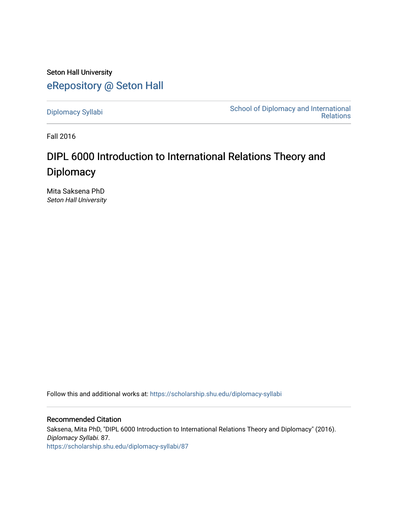Seton Hall University [eRepository @ Seton Hall](https://scholarship.shu.edu/)

[Diplomacy Syllabi](https://scholarship.shu.edu/diplomacy-syllabi) [School of Diplomacy and International](https://scholarship.shu.edu/diplomacy)  [Relations](https://scholarship.shu.edu/diplomacy) 

Fall 2016

# DIPL 6000 Introduction to International Relations Theory and **Diplomacy**

Mita Saksena PhD Seton Hall University

Follow this and additional works at: [https://scholarship.shu.edu/diplomacy-syllabi](https://scholarship.shu.edu/diplomacy-syllabi?utm_source=scholarship.shu.edu%2Fdiplomacy-syllabi%2F87&utm_medium=PDF&utm_campaign=PDFCoverPages) 

Recommended Citation Saksena, Mita PhD, "DIPL 6000 Introduction to International Relations Theory and Diplomacy" (2016). Diplomacy Syllabi. 87. [https://scholarship.shu.edu/diplomacy-syllabi/87](https://scholarship.shu.edu/diplomacy-syllabi/87?utm_source=scholarship.shu.edu%2Fdiplomacy-syllabi%2F87&utm_medium=PDF&utm_campaign=PDFCoverPages)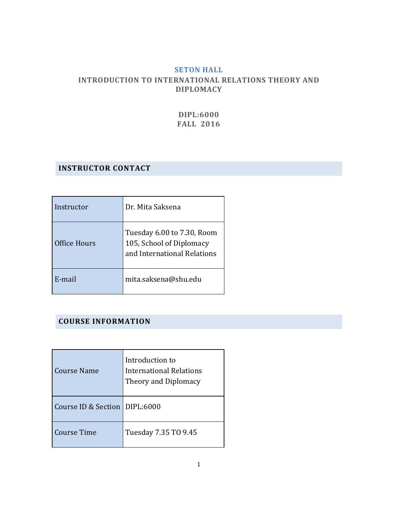## **SETON HALL INTRODUCTION TO INTERNATIONAL RELATIONS THEORY AND DIPLOMACY**

**DIPL:6000 FALL 2016**

## **INSTRUCTOR CONTACT**

| Instructor   | Dr. Mita Saksena                                                                      |
|--------------|---------------------------------------------------------------------------------------|
| Office Hours | Tuesday 6.00 to 7.30, Room<br>105, School of Diplomacy<br>and International Relations |
| E-mail       | mita.saksena@shu.edu                                                                  |

## **COURSE INFORMATION**

| Course Name                     | Introduction to<br><b>International Relations</b><br>Theory and Diplomacy |
|---------------------------------|---------------------------------------------------------------------------|
| Course ID & Section   DIPL:6000 |                                                                           |
| Course Time                     | Tuesday 7.35 TO 9.45                                                      |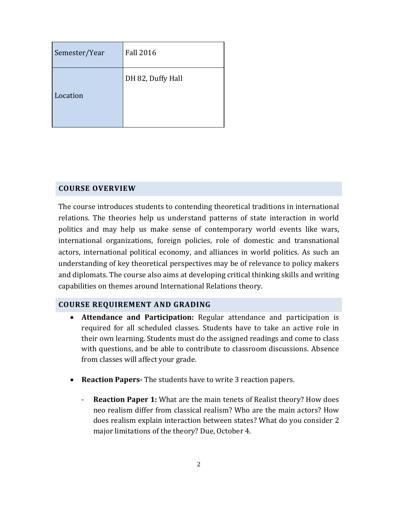| Semester/Year | <b>Fall 2016</b>  |
|---------------|-------------------|
| Location      | DH 82, Duffy Hall |

# **COURSE OVERVIEW**

The course introduces students to contending theoretical traditions in international relations. The theories help us understand patterns of state interaction in world politics and may help us make sense of contemporary world events like wars, international organizations, foreign policies, role of domestic and transnational actors, international political economy, and alliances in world politics. As such an understanding of key theoretical perspectives may be of relevance to policy makers and diplomats. The course also aims at developing critical thinking skills and writing capabilities on themes around International Relations theory.

## **COURSE REQUIREMENT AND GRADING**

- **Attendance and Participation:** Regular attendance and participation is required for all scheduled classes. Students have to take an active role in their own learning. Students must do the assigned readings and come to class with questions, and be able to contribute to classroom discussions. Absence from classes will affect your grade.
- **Reaction Papers-** The students have to write 3 reaction papers.
	- **Reaction Paper 1:** What are the main tenets of Realist theory? How does neo realism differ from classical realism? Who are the main actors? How does realism explain interaction between states? What do you consider 2 major limitations of the theory? Due, October 4.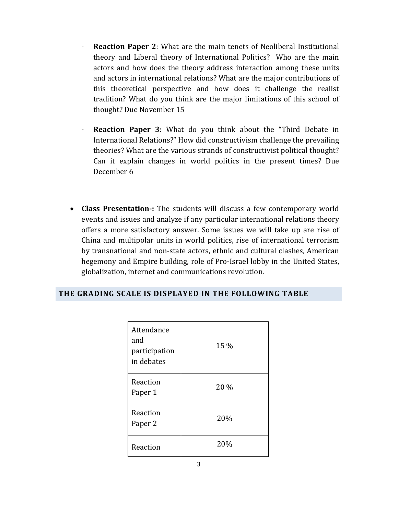- **Reaction Paper 2**: What are the main tenets of Neoliberal Institutional theory and Liberal theory of International Politics? Who are the main actors and how does the theory address interaction among these units and actors in international relations? What are the major contributions of this theoretical perspective and how does it challenge the realist tradition? What do you think are the major limitations of this school of thought? Due November 15
- **Reaction Paper 3:** What do you think about the "Third Debate in International Relations?" How did constructivism challenge the prevailing theories? What are the various strands of constructivist political thought? Can it explain changes in world politics in the present times? Due December 6
- **Class Presentation-:** The students will discuss a few contemporary world events and issues and analyze if any particular international relations theory offers a more satisfactory answer. Some issues we will take up are rise of China and multipolar units in world politics, rise of international terrorism by transnational and non-state actors, ethnic and cultural clashes, American hegemony and Empire building, role of Pro-Israel lobby in the United States, globalization, internet and communications revolution.

| Attendance<br>and<br>participation<br>in debates | 15 % |
|--------------------------------------------------|------|
| Reaction<br>Paper 1                              | 20 % |
| Reaction<br>Paper 2                              | 20%  |
| Reaction                                         | 20%  |

#### **THE GRADING SCALE IS DISPLAYED IN THE FOLLOWING TABLE**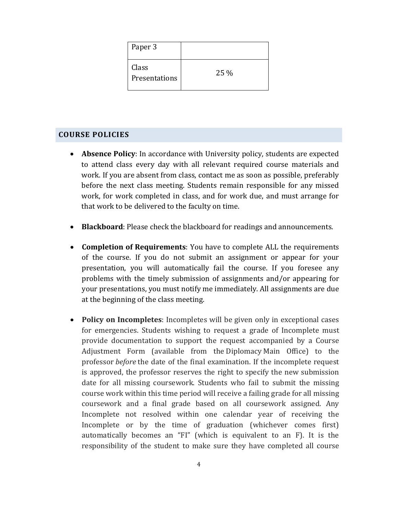| Paper 3                |      |
|------------------------|------|
| Class<br>Presentations | 25 % |

#### **COURSE POLICIES**

- **Absence Policy**: In accordance with University policy, students are expected to attend class every day with all relevant required course materials and work. If you are absent from class, contact me as soon as possible, preferably before the next class meeting. Students remain responsible for any missed work, for work completed in class, and for work due, and must arrange for that work to be delivered to the faculty on time.
- **Blackboard**: Please check the blackboard for readings and announcements.
- **Completion of Requirements**: You have to complete ALL the requirements of the course. If you do not submit an assignment or appear for your presentation, you will automatically fail the course. If you foresee any problems with the timely submission of assignments and/or appearing for your presentations, you must notify me immediately. All assignments are due at the beginning of the class meeting.
- **Policy on Incompletes**: Incompletes will be given only in exceptional cases for emergencies. Students wishing to request a grade of Incomplete must provide documentation to support the request accompanied by a Course Adjustment Form (available from the Diplomacy Main Office) to the professor *before* the date of the final examination. If the incomplete request is approved, the professor reserves the right to specify the new submission date for all missing coursework. Students who fail to submit the missing course work within this time period will receive a failing grade for all missing coursework and a final grade based on all coursework assigned. Any Incomplete not resolved within one calendar year of receiving the Incomplete or by the time of graduation (whichever comes first) automatically becomes an "FI" (which is equivalent to an F). It is the responsibility of the student to make sure they have completed all course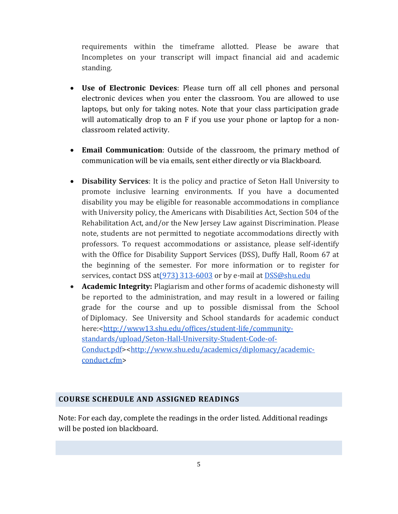requirements within the timeframe allotted. Please be aware that Incompletes on your transcript will impact financial aid and academic standing.

- **Use of Electronic Devices**: Please turn off all cell phones and personal electronic devices when you enter the classroom. You are allowed to use laptops, but only for taking notes. Note that your class participation grade will automatically drop to an F if you use your phone or laptop for a nonclassroom related activity.
- **Email Communication**: Outside of the classroom, the primary method of communication will be via emails, sent either directly or via Blackboard.
- **Disability Services**: It is the policy and practice of Seton Hall University to promote inclusive learning environments. If you have a documented disability you may be eligible for reasonable accommodations in compliance with University policy, the Americans with Disabilities Act, Section 504 of the Rehabilitation Act, and/or the New Jersey Law against Discrimination. Please note, students are not permitted to negotiate accommodations directly with professors. To request accommodations or assistance, please self-identify with the Office for Disability Support Services (DSS), Duffy Hall, Room 67 at the beginning of the semester. For more information or to register for services, contact DSS a[t\(973\) 313-6003](tel:%28973%29%20313-6003) or by e-mail at [DSS@shu.edu](mailto:DSS@shu.edu)
- **Academic Integrity:** Plagiarism and other forms of academic dishonesty will be reported to the administration, and may result in a lowered or failing grade for the course and up to possible dismissal from the School of Diplomacy. See University and School standards for academic conduct here:[<http://www13.shu.edu/offices/student-life/community](http://www13.shu.edu/offices/student-life/community-standards/upload/Seton-Hall-University-Student-Code-of-Conduct.pdf)[standards/upload/Seton-Hall-University-Student-Code-of-](http://www13.shu.edu/offices/student-life/community-standards/upload/Seton-Hall-University-Student-Code-of-Conduct.pdf)[Conduct.pdf>](http://www13.shu.edu/offices/student-life/community-standards/upload/Seton-Hall-University-Student-Code-of-Conduct.pdf)[<http://www.shu.edu/academics/diplomacy/academic](http://www.shu.edu/academics/diplomacy/academic-conduct.cfm)[conduct.cfm](http://www.shu.edu/academics/diplomacy/academic-conduct.cfm)>

#### **COURSE SCHEDULE AND ASSIGNED READINGS**

Note: For each day, complete the readings in the order listed. Additional readings will be posted ion blackboard.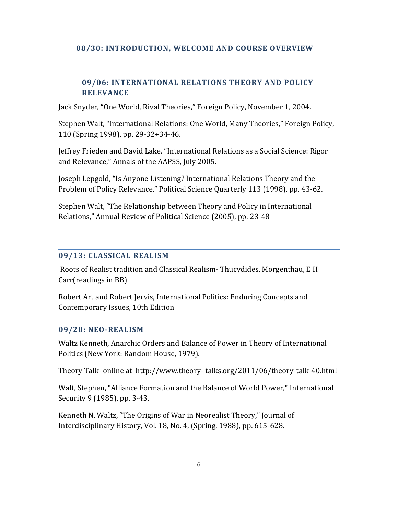## **08/30: INTRODUCTION, WELCOME AND COURSE OVERVIEW**

# **09/06: INTERNATIONAL RELATIONS THEORY AND POLICY RELEVANCE**

Jack Snyder, "One World, Rival Theories," Foreign Policy, November 1, 2004.

Stephen Walt, "International Relations: One World, Many Theories," Foreign Policy, 110 (Spring 1998), pp. 29-32+34-46.

Jeffrey Frieden and David Lake. "International Relations as a Social Science: Rigor and Relevance," Annals of the AAPSS, July 2005.

Joseph Lepgold, "Is Anyone Listening? International Relations Theory and the Problem of Policy Relevance," Political Science Quarterly 113 (1998), pp. 43-62.

Stephen Walt, "The Relationship between Theory and Policy in International Relations," Annual Review of Political Science (2005), pp. 23-48

## **09/13: CLASSICAL REALISM**

Roots of Realist tradition and Classical Realism- Thucydides, Morgenthau, E H Carr(readings in BB)

Robert Art and Robert Jervis, International Politics: Enduring Concepts and Contemporary Issues, 10th Edition

## **09/20: NEO-REALISM**

Waltz Kenneth, Anarchic Orders and Balance of Power in Theory of International Politics (New York: Random House, 1979).

Theory Talk- online at http://www.theory- talks.org/2011/06/theory-talk-40.html

Walt, Stephen, "Alliance Formation and the Balance of World Power," International Security 9 (1985), pp. 3-43.

Kenneth N. Waltz, "The Origins of War in Neorealist Theory," Journal of Interdisciplinary History, Vol. 18, No. 4, (Spring, 1988), pp. 615-628.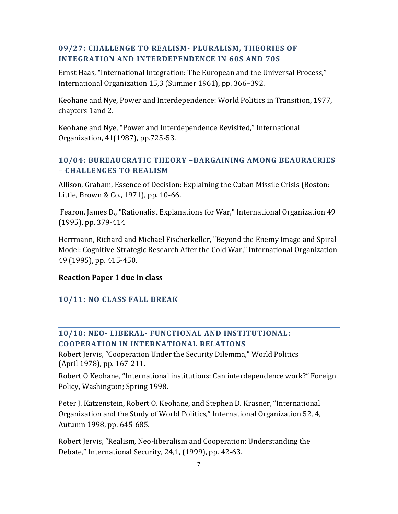## **09/27: CHALLENGE TO REALISM- PLURALISM, THEORIES OF INTEGRATION AND INTERDEPENDENCE IN 60S AND 70S**

Ernst Haas, "International Integration: The European and the Universal Process," International Organization 15,3 (Summer 1961), pp. 366–392.

Keohane and Nye, Power and Interdependence: World Politics in Transition, 1977, chapters 1and 2.

Keohane and Nye, "Power and Interdependence Revisited," International Organization, 41(1987), pp.725-53.

# **10/04: BUREAUCRATIC THEORY –BARGAINING AMONG BEAURACRIES – CHALLENGES TO REALISM**

Allison, Graham, Essence of Decision: Explaining the Cuban Missile Crisis (Boston: Little, Brown & Co., 1971), pp. 10-66.

Fearon, James D., "Rationalist Explanations for War," International Organization 49 (1995), pp. 379-414

Herrmann, Richard and Michael Fischerkeller, "Beyond the Enemy Image and Spiral Model: Cognitive-Strategic Research After the Cold War," International Organization 49 (1995), pp. 415-450.

## **Reaction Paper 1 due in class**

# **10/11: NO CLASS FALL BREAK**

# **10/18: NEO- LIBERAL- FUNCTIONAL AND INSTITUTIONAL: COOPERATION IN INTERNATIONAL RELATIONS**

Robert Jervis, "Cooperation Under the Security Dilemma," World Politics (April 1978), pp. 167-211.

Robert O Keohane, "International institutions: Can interdependence work?" Foreign Policy, Washington; Spring 1998.

Peter J. Katzenstein, Robert O. Keohane, and Stephen D. Krasner, "International Organization and the Study of World Politics," International Organization 52, 4, Autumn 1998, pp. 645-685.

Robert Jervis, "Realism, Neo-liberalism and Cooperation: Understanding the Debate," International Security, 24,1, (1999), pp. 42-63.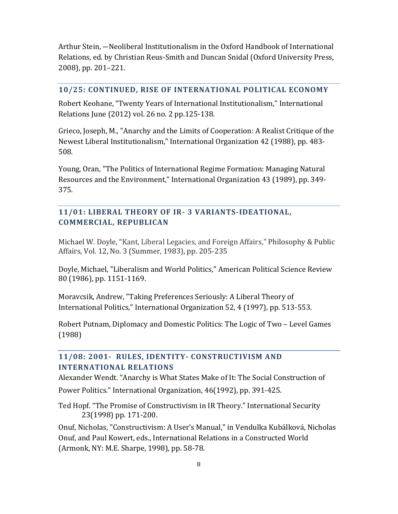Arthur Stein, ―Neoliberal Institutionalism in the Oxford Handbook of International Relations, ed. by Christian Reus-Smith and Duncan Snidal (Oxford University Press, 2008), pp. 201–221.

#### **10/25: CONTINUED, RISE OF INTERNATIONAL POLITICAL ECONOMY**

Robert Keohane, "Twenty Years of International Institutionalism," International Relations June (2012) vol. 26 no. 2 pp.125-138.

Grieco, Joseph, M., "Anarchy and the Limits of Cooperation: A Realist Critique of the Newest Liberal Institutionalism," International Organization 42 (1988), pp. 483- 508.

Young, Oran, "The Politics of International Regime Formation: Managing Natural Resources and the Environment," International Organization 43 (1989), pp. 349- 375.

## **11/01: LIBERAL THEORY OF IR- 3 VARIANTS-IDEATIONAL, COMMERCIAL, REPUBLICAN**

Michael W. Doyle, "Kant, Liberal Legacies, and Foreign Affairs," Philosophy & Public Affairs, Vol. 12, No. 3 (Summer, 1983), pp. 205-235

Doyle, Michael, "Liberalism and World Politics," American Political Science Review 80 (1986), pp. 1151-1169.

Moravcsik, Andrew, "Taking Preferences Seriously: A Liberal Theory of International Politics," International Organization 52, 4 (1997), pp. 513-553.

Robert Putnam, Diplomacy and Domestic Politics: The Logic of Two – Level Games (1988)

## **11/08: 2001- RULES, IDENTITY- CONSTRUCTIVISM AND INTERNATIONAL RELATIONS**

Alexander Wendt. "Anarchy is What States Make of It: The Social Construction of Power Politics." International Organization, 46(1992), pp. 391-425.

Ted Hopf. "The Promise of Constructivism in IR Theory." International Security 23(1998) pp. 171-200.

Onuf, Nicholas, "Constructivism: A User's Manual," in Vendulka Kubálková, Nicholas Onuf, and Paul Kowert, eds., International Relations in a Constructed World (Armonk, NY: M.E. Sharpe, 1998), pp. 58-78.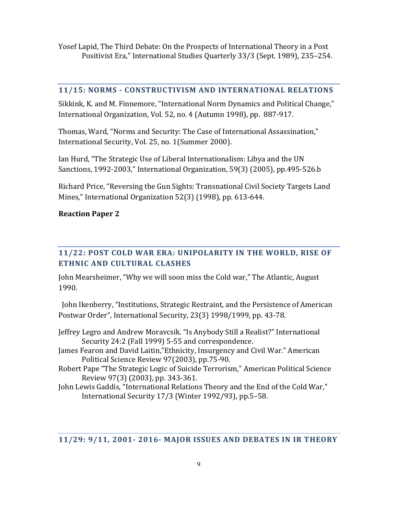Yosef Lapid, The Third Debate: On the Prospects of International Theory in a Post Positivist Era," International Studies Quarterly 33/3 (Sept. 1989), 235–254.

#### **11/15: NORMS - CONSTRUCTIVISM AND INTERNATIONAL RELATIONS**

Sikkink, K. and M. Finnemore, "International Norm Dynamics and Political Change," International Organization, Vol. 52, no. 4 (Autumn 1998), pp. 887-917.

Thomas, Ward, "Norms and Security: The Case of International Assassination," International Security, Vol. 25, no. 1(Summer 2000).

Ian Hurd, "The Strategic Use of Liberal Internationalism: Libya and the UN Sanctions, 1992-2003," International Organization, 59(3) (2005), pp.495-526.b

Richard Price, "Reversing the Gun Sights: Transnational Civil Society Targets Land Mines," International Organization 52(3) (1998), pp. 613-644.

## **Reaction Paper 2**

# **11/22: POST COLD WAR ERA: UNIPOLARITY IN THE WORLD, RISE OF ETHNIC AND CULTURAL CLASHES**

John Mearsheimer, "Why we will soon miss the Cold war," The Atlantic, August 1990.

 John Ikenberry, "Institutions, Strategic Restraint, and the Persistence of American Postwar Order", International Security, 23(3) 1998/1999, pp. 43-78.

- Jeffrey Legro and Andrew Moravcsik. "Is Anybody Still a Realist?" International Security 24:2 (Fall 1999) 5-55 and correspondence.
- James Fearon and David Laitin,"Ethnicity, Insurgency and Civil War." American Political Science Review 97(2003), pp.75-90.
- Robert Pape "The Strategic Logic of Suicide Terrorism," American Political Science Review 97(3) (2003), pp. 343-361.
- John Lewis Gaddis, "International Relations Theory and the End of the Cold War," International Security 17/3 (Winter 1992/93), pp.5–58.

#### **11/29: 9/11, 2001- 2016- MAJOR ISSUES AND DEBATES IN IR THEORY**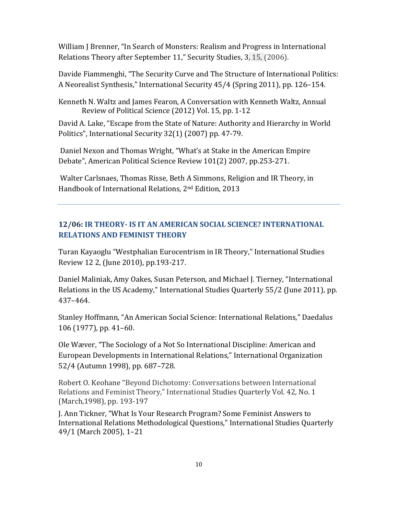William J Brenner, "In Search of Monsters: Realism and Progress in International Relations Theory after September 11," Security Studies, 3, 15, (2006).

Davide Fiammenghi, "The Security Curve and The Structure of International Politics: A Neorealist Synthesis," International Security 45/4 (Spring 2011), pp. 126–154.

Kenneth N. Waltz and James Fearon, A Conversation with Kenneth Waltz, Annual Review of Political Science (2012) Vol. 15, pp. 1-12

David A. Lake, "Escape from the State of Nature: Authority and Hierarchy in World Politics", International Security 32(1) (2007) pp. 47-79.

Daniel Nexon and Thomas Wright, "What's at Stake in the American Empire Debate", American Political Science Review 101(2) 2007, pp.253-271.

Walter Carlsnaes, Thomas Risse, Beth A Simmons, Religion and IR Theory, in Handbook of International Relations, 2nd Edition, 2013

# **12/06: IR THEORY- IS IT AN AMERICAN SOCIAL SCIENCE? INTERNATIONAL RELATIONS AND FEMINIST THEORY**

Turan Kayaoglu "Westphalian Eurocentrism in IR Theory," International Studies Review 12 2, (June 2010), pp.193-217.

Daniel Maliniak, Amy Oakes, Susan Peterson, and Michael J. Tierney, "International Relations in the US Academy," International Studies Quarterly 55/2 (June 2011), pp. 437–464.

Stanley Hoffmann, "An American Social Science: International Relations," Daedalus 106 (1977), pp. 41–60.

Ole Wæver, "The Sociology of a Not So International Discipline: American and European Developments in International Relations," International Organization 52/4 (Autumn 1998), pp. 687–728.

Robert O. Keohane "Beyond Dichotomy: Conversations between International Relations and Feminist Theory," International Studies Quarterly Vol. 42, No. 1 (March,1998), pp. 193-197

J. Ann Tickner, "What Is Your Research Program? Some Feminist Answers to International Relations Methodological Questions," International Studies Quarterly 49/1 (March 2005), 1–21